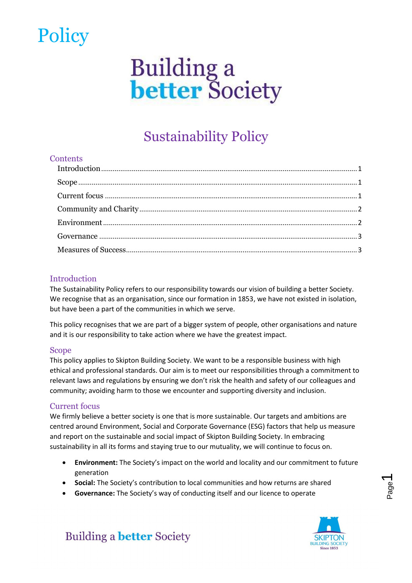### **Policy**

# **Building a**<br>**better** Society

### Sustainability Policy

### **Contents**

### <span id="page-0-0"></span>Introduction

The Sustainability Policy refers to our responsibility towards our vision of building a better Society. We recognise that as an organisation, since our formation in 1853, we have not existed in isolation, but have been a part of the communities in which we serve.

This policy recognises that we are part of a bigger system of people, other organisations and nature and it is our responsibility to take action where we have the greatest impact.

### <span id="page-0-1"></span>Scope

This policy applies to Skipton Building Society. We want to be a responsible business with high ethical and professional standards. Our aim is to meet our responsibilities through a commitment to relevant laws and regulations by ensuring we don't risk the health and safety of our colleagues and community; avoiding harm to those we encounter and supporting diversity and inclusion.

### <span id="page-0-2"></span>Current focus

We firmly believe a better society is one that is more sustainable. Our targets and ambitions are centred around Environment, Social and Corporate Governance (ESG) factors that help us measure and report on the sustainable and social impact of Skipton Building Society. In embracing sustainability in all its forms and staying true to our mutuality, we will continue to focus on.

- **Environment:** The Society's impact on the world and locality and our commitment to future generation
- **Social:** The Society's contribution to local communities and how returns are shared
- **Governance:** The Society's way of conducting itself and our licence to operate



 $\overline{\phantom{0}}$ 

**Building a better Society**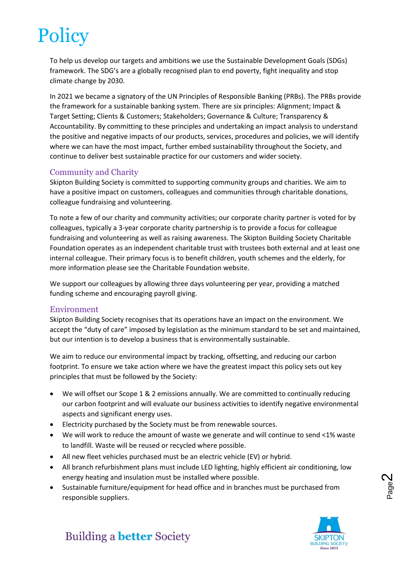## **Policy**

To help us develop our targets and ambitions we use the Sustainable Development Goals (SDGs) framework. The SDG's are a globally recognised plan to end poverty, fight inequality and stop climate change by 2030.

In 2021 we became a signatory of the UN Principles of Responsible Banking (PRBs). The PRBs provide the framework for a sustainable banking system. There are six principles: Alignment; Impact & Target Setting; Clients & Customers; Stakeholders; Governance & Culture; Transparency & Accountability. By committing to these principles and undertaking an impact analysis to understand the positive and negative impacts of our products, services, procedures and policies, we will identify where we can have the most impact, further embed sustainability throughout the Society, and continue to deliver best sustainable practice for our customers and wider society.

#### <span id="page-1-0"></span>Community and Charity

Skipton Building Society is committed to supporting community groups and charities. We aim to have a positive impact on customers, colleagues and communities through charitable donations, colleague fundraising and volunteering.

To note a few of our charity and community activities; our corporate charity partner is voted for by colleagues, typically a 3-year corporate charity partnership is to provide a focus for colleague fundraising and volunteering as well as raising awareness. The Skipton Building Society Charitable Foundation operates as an independent charitable trust with trustees both external and at least one internal colleague. Their primary focus is to benefit children, youth schemes and the elderly, for more information please see the Charitable Foundation website.

We support our colleagues by allowing three days volunteering per year, providing a matched funding scheme and encouraging payroll giving.

#### <span id="page-1-1"></span>Environment

Skipton Building Society recognises that its operations have an impact on the environment. We accept the "duty of care" imposed by legislation as the minimum standard to be set and maintained, but our intention is to develop a business that is environmentally sustainable.

We aim to reduce our environmental impact by tracking, offsetting, and reducing our carbon footprint. To ensure we take action where we have the greatest impact this policy sets out key principles that must be followed by the Society:

- We will offset our Scope 1 & 2 emissions annually. We are committed to continually reducing our carbon footprint and will evaluate our business activities to identify negative environmental aspects and significant energy uses.
- Electricity purchased by the Society must be from renewable sources.
- We will work to reduce the amount of waste we generate and will continue to send <1% waste to landfill. Waste will be reused or recycled where possible.
- All new fleet vehicles purchased must be an electric vehicle (EV) or hybrid.
- All branch refurbishment plans must include LED lighting, highly efficient air conditioning, low energy heating and insulation must be installed where possible.
- Sustainable furniture/equipment for head office and in branches must be purchased from responsible suppliers.



Page  $\boldsymbol{\sim}$